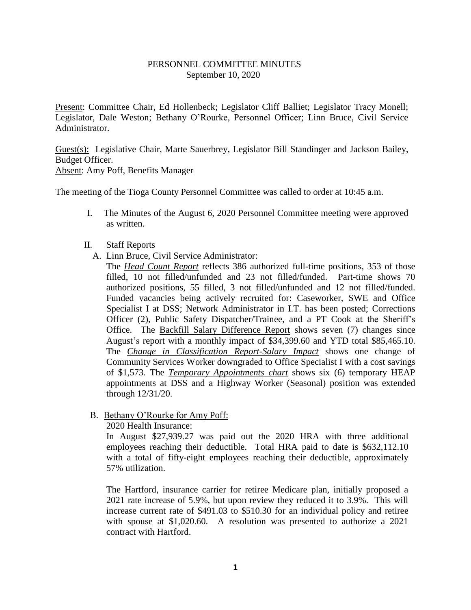# PERSONNEL COMMITTEE MINUTES September 10, 2020

Present: Committee Chair, Ed Hollenbeck; Legislator Cliff Balliet; Legislator Tracy Monell; Legislator, Dale Weston; Bethany O'Rourke, Personnel Officer; Linn Bruce, Civil Service Administrator.

Guest(s): Legislative Chair, Marte Sauerbrey, Legislator Bill Standinger and Jackson Bailey, Budget Officer.

Absent: Amy Poff, Benefits Manager

The meeting of the Tioga County Personnel Committee was called to order at 10:45 a.m.

- I. The Minutes of the August 6, 2020 Personnel Committee meeting were approved as written.
- II. Staff Reports
	- A. Linn Bruce, Civil Service Administrator:

The *Head Count Report* reflects 386 authorized full-time positions, 353 of those filled, 10 not filled/unfunded and 23 not filled/funded. Part-time shows 70 authorized positions, 55 filled, 3 not filled/unfunded and 12 not filled/funded. Funded vacancies being actively recruited for: Caseworker, SWE and Office Specialist I at DSS; Network Administrator in I.T. has been posted; Corrections Officer (2), Public Safety Dispatcher/Trainee, and a PT Cook at the Sheriff's Office. The **Backfill Salary Difference Report** shows seven (7) changes since August's report with a monthly impact of \$34,399.60 and YTD total \$85,465.10. The *Change in Classification Report-Salary Impact* shows one change of Community Services Worker downgraded to Office Specialist I with a cost savings of \$1,573. The *Temporary Appointments chart* shows six (6) temporary HEAP appointments at DSS and a Highway Worker (Seasonal) position was extended through 12/31/20.

# B. Bethany O'Rourke for Amy Poff:

2020 Health Insurance:

In August \$27,939.27 was paid out the 2020 HRA with three additional employees reaching their deductible. Total HRA paid to date is \$632,112.10 with a total of fifty-eight employees reaching their deductible, approximately 57% utilization.

The Hartford, insurance carrier for retiree Medicare plan, initially proposed a 2021 rate increase of 5.9%, but upon review they reduced it to 3.9%. This will increase current rate of \$491.03 to \$510.30 for an individual policy and retiree with spouse at \$1,020.60. A resolution was presented to authorize a 2021 contract with Hartford.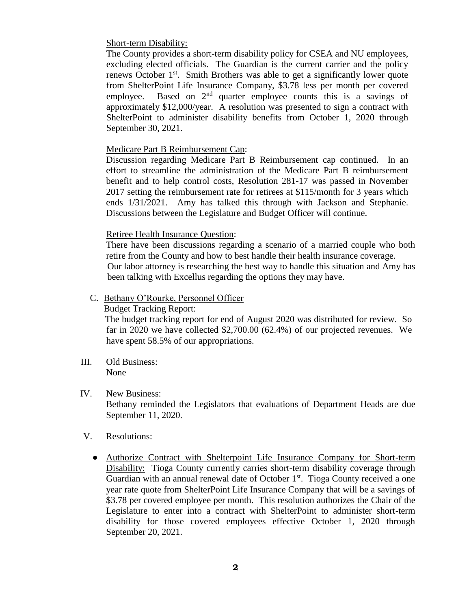### Short-term Disability:

The County provides a short-term disability policy for CSEA and NU employees, excluding elected officials. The Guardian is the current carrier and the policy renews October  $1<sup>st</sup>$ . Smith Brothers was able to get a significantly lower quote from ShelterPoint Life Insurance Company, \$3.78 less per month per covered employee. Based on  $2<sup>nd</sup>$  quarter employee counts this is a savings of approximately \$12,000/year. A resolution was presented to sign a contract with ShelterPoint to administer disability benefits from October 1, 2020 through September 30, 2021.

# Medicare Part B Reimbursement Cap:

Discussion regarding Medicare Part B Reimbursement cap continued. In an effort to streamline the administration of the Medicare Part B reimbursement benefit and to help control costs, Resolution 281-17 was passed in November 2017 setting the reimbursement rate for retirees at \$115/month for 3 years which ends 1/31/2021. Amy has talked this through with Jackson and Stephanie. Discussions between the Legislature and Budget Officer will continue.

# Retiree Health Insurance Question:

There have been discussions regarding a scenario of a married couple who both retire from the County and how to best handle their health insurance coverage. Our labor attorney is researching the best way to handle this situation and Amy has been talking with Excellus regarding the options they may have.

#### C. Bethany O'Rourke, Personnel Officer

Budget Tracking Report:

 The budget tracking report for end of August 2020 was distributed for review. So far in 2020 we have collected \$2,700.00 (62.4%) of our projected revenues. We have spent 58.5% of our appropriations.

III. Old Business: None

# IV. New Business:

Bethany reminded the Legislators that evaluations of Department Heads are due September 11, 2020.

- V. Resolutions:
	- Authorize Contract with Shelterpoint Life Insurance Company for Short-term Disability: Tioga County currently carries short-term disability coverage through Guardian with an annual renewal date of October  $1<sup>st</sup>$ . Tioga County received a one year rate quote from ShelterPoint Life Insurance Company that will be a savings of \$3.78 per covered employee per month. This resolution authorizes the Chair of the Legislature to enter into a contract with ShelterPoint to administer short-term disability for those covered employees effective October 1, 2020 through September 20, 2021.